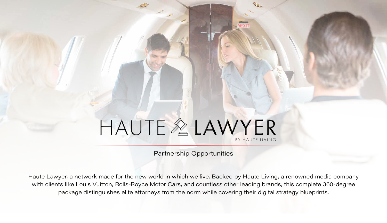#### Partnership Opportunities



Haute Lawyer, a network made for the new world in which we live. Backed by Haute Living, a renowned media company with clients like Louis Vuitton, Rolls-Royce Motor Cars, and countless other leading brands, this complete 360-degree package distinguishes elite attorneys from the norm while covering their digital strategy blueprints.

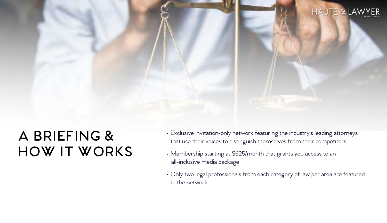# **A BRIEFING & HOW IT WORKS**

- 
- 
- 



• Exclusive invitation-only network featuring the industry's leading attorneys that use their voices to distinguish themselves from their competitors

• Membership starting at \$625/month that grants you access to an all-inclusive media package

• Only two legal professionals from each category of law per area are featured in the network

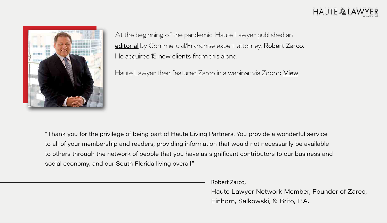

At the beginning of the pandemic, Haute Lawyer published an [editorial](https://hauteliving.com/hautelawyer/635266/challenging-insurers-denials-business-interruption-insurance-claims-covid-19/) by Commercial/Franchise expert attorney, Robert Zarco. He acquired 15 new clients from this alone.

Haute Lawyer then featured Zarco in a webinar via Zoom: [View](https://hauteliving.com/hautelawyer/635384/law-webinar-robert-zarco/)

"Thank you for the privilege of being part of Haute Living Partners. You provide a wonderful service to all of your membership and readers, providing information that would not necessarily be available to others through the network of people that you have as significant contributors to our business and social economy, and our South Florida living overall."

### $HAUTE \& LAWYER$

Robert Zarco,

Haute Lawyer Network Member, Founder of Zarco, Einhorn, Salkowski, & Brito, P.A.

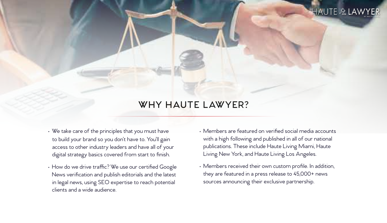### **WHY HAUTE LAWYER?**

- We take care of the principles that you must have to build your brand so you don't have to. You'll gain access to other industry leaders and have all of your digital strategy basics covered from start to finish.
- How do we drive traffic? We use our certified Google News verification and publish editorials and the latest in legal news, using SEO expertise to reach potential clients and a wide audience.

### HAUTE & LAWYER

- Members are featured on verified social media accounts with a high following and published in all of our national publications. These include Haute Living Miami, Haute Living New York, and Haute Living Los Angeles.
- Members received their own custom profile. In addition, they are featured in a press release to 45,000+ news sources announcing their exclusive partnership.

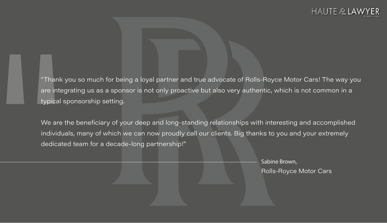" "Thank you so much for being a loyal partner and true advocate of Rolls-Royce Motor Cars! The way you are integrating us as a sponsor is not only proactive but also very authentic, which is not common in a typical sponsorship setting.

We are the beneficiary of your deep and long-standing relationships with interesting and accomplished individuals, many of which we can now proudly call our clients. Big thanks to you and your extremely dedicated team for a decade-long partnership!"

### HAUTE & LAWYER

Sabine Brown, Rolls-Royce Motor Cars

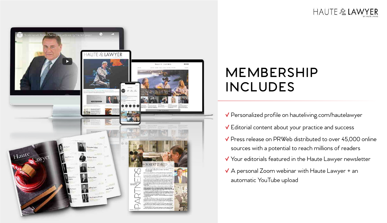

### HAUTE & LAWYER

# **MEMBERSHIP INCLUDES**

- **√** Personalized profile on hauteliving.com/hautelawyer
- **√** Editorial content about your practice and success
- **√** Press release on PRWeb distributed to over 45,000 online sources with a potential to reach millions of readers
- **√** Your editorials featured in the Haute Lawyer newsletter
- **√** A personal Zoom webinar with Haute Lawyer + an automatic YouTube upload

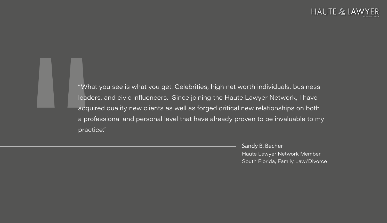

"What you see is what you get. Celebrities, high net worth individuals, business leaders, and civic influencers. Since joining the Haute Lawyer Network, I have acquired quality new clients as well as forged critical new relationships on both a professional and personal level that have already proven to be invaluable to my practice."

### $HAUTE \& LAV$

Sandy B. Becher Haute Lawyer Network Member South Florida, Family Law/Divorce

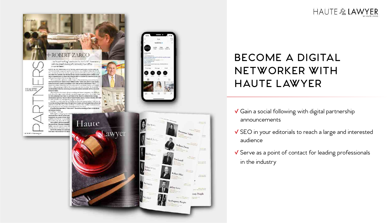#### -ROBERT ZARCO

ine "nrand we King" oeels atex his firm's 2011 Announce y with the prand opening of a sprawing new office.  $\mathbb{R}^n$  -university is approved in

73 internationally a regularitize part in Green in the Special Midwin Indians at 20 Killar  $\delta G$  , no main the Prime interference angle for stream in which obtains the principle continuity of the stream with the function beam interference as a stream state of the neckeur, representation of oberes including his sixther in learniferitations<br>is formionally and  $\sim$  orthogonal mass region of<br>  $\mu$  and  $\mu$ 

This secure telescopic to be a middle transit in characterizing a completion to mas I have done in the mines at many different levels." Zimo any, And it's trie. Zakers  $\sim 2.55\%$  relations to the state system in background at large to the function of the state of igen daarman van de eerste van die keele gewond, die vere bewerk is ook is deur Commit-Nexus, edito processors MSA at Most technology and cate the solution for the planet. Understanding of finance, accordingly, and financial analysis accordings serve as an added banus for diseas.

"Ny identicalments some of registrations and the content ground. We eliminate and determination of a demonstration on determining or together and the same of the state of the is even understand that when the advise legal after reduced becomes the reset of corancement. Likewise, I will say offeres winnerver [dery] stake a business decalors they need. in a telescope of a substantine positive population and some  $\alpha$  of  $\beta$ 

блужба с в немей воздухование на обявание сонного воздуходительную совменных From the handling of there are a "horugh Europy hapen and many area beal advise that a set a horizontal state  $\sim$  10  $\mu$  m and the many the decomposition of the set of the set of the set of the set of the set of the set

deni ja diliy of bevolks Massa Kirikans Malanesia Settem (KA ad asi A coeffice Zero gen often is "what's rejoin". The server, recording to Zaim is hoth throw used operation by natural.

transition (2000-05) redication is suggery periode see about the law as he is now. autosantalie As amain of vialor, halapod time term for not vertical taest to deling the storm of the texting. Most recently and during paneled t Director Times: The grand operator o l ighty in travent this price maturity **Continued CAP international** The lastich operang was unlike an from isting were graticles to in since

on NATE and possibility on

**IMITE** 



**Tank** 



Jeffrey Love

The Property People

**STATE OF THE OWNER** 

 $\overline{\text{ecry\ People}}$ 

### HAUTE & LAWYER

## **BECOME A DIGITAL NETWORKER WITH HAUTE LAWYER**

- **√** Gain a social following with digital partnership announcements
- **√** SEO in your editorials to reach a large and interested audience
- **√** Serve as a point of contact for leading professionals in the industry